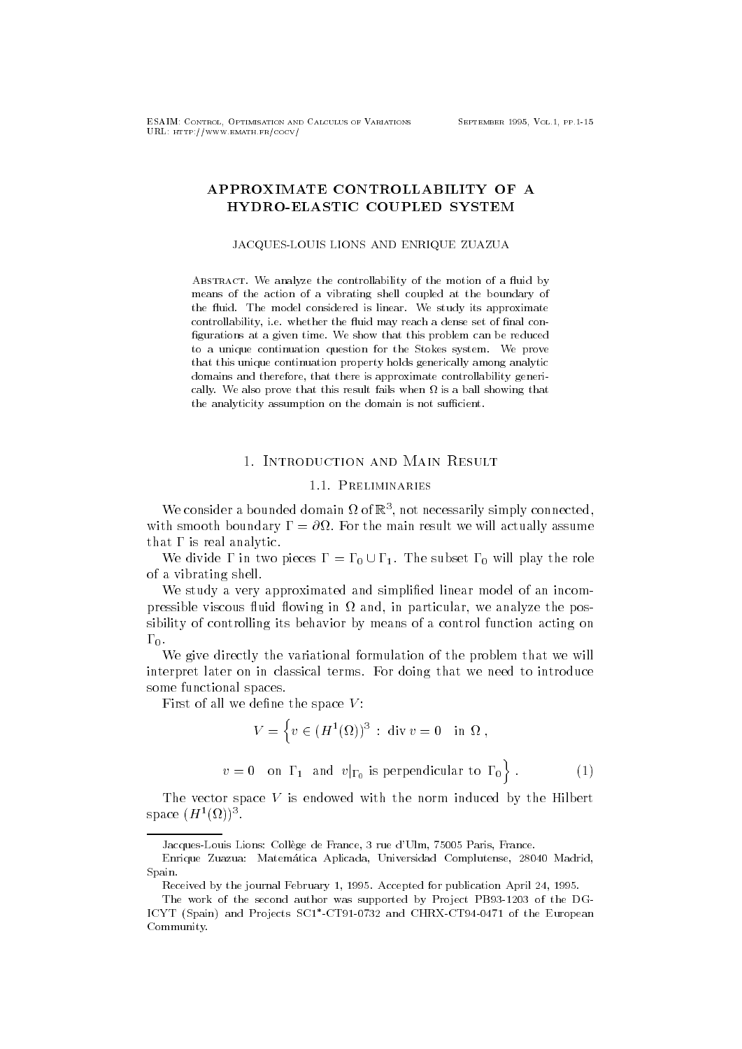# APPROXIMATE CONTROLLABILITY OF A HYDRO-ELASTIC COUPLED SYSTEM

#### JACQUES-LOUIS LIONS AND ENRIQUE ZUAZUA

ABSTRACT. We analyze the controllability of the motion of a fluid by means of the action of a vibrating shell coupled at the boundary of the fluid. The model considered is linear. We study its approximate controllability, i.e. whether the fluid may reach a dense set of final configurations at a given time. We show that this problem can be reduced to a unique continuation question for the Stokes system We prove that this unique continuation property holds generically among analytic domains and therefore, that there is approximate controllability generically. We also prove that this result fails when  $\Omega$  is a ball showing that the analyticity assumption on the domain is not sufficient.

### 1. INTRODUCTION AND MAIN RESULT

## 1.1. PRELIMINARIES

we consider a bounded domain  $\alpha$  or  $\alpha$  , not necessarily simply connected, with smooth boundary  $\sim$  the main result we will also will actually assume  $\sim$ that  $\Gamma$  is real analytic.

We divide I in two pieces  $\Gamma = \Gamma_0 \cup \Gamma_1$ . The subset  $\Gamma_0$  will play the role of a vibrating shell-

We study a very approximated and simplified linear model of an incompressible viscous fluid flowing in  $\Omega$  and, in particular, we analyze the possibility of controlling its behavior by means of a control function acting on --

We give directly the variational formulation of the problem that we will interpret later on in classical terms- For doing that we need to introduce some functional spaces-

First of all we define the space  $V$ :

$$
V = \left\{ v \in (H^{1}(\Omega))^{3} : \text{div } v = 0 \text{ in } \Omega , \right\}
$$
  

$$
v = 0 \text{ on } \Gamma_{1} \text{ and } v|_{\Gamma_{0}} \text{ is perpendicular to } \Gamma_{0} \right\}. \tag{1}
$$

The vector space  $V$  is endowed with the norm induced by the Hilbert space  $(H - \{M\})$  .

Jacques-Louis Lions Coll ege de France rue dUlm 
 Paris France

Enrique Zuazua: Matemática Aplicada, Universidad Complutense, 28040 Madrid, Spain

Received by the journal February 1, 1995. Accepted for publication April 24, 1995.

The work of the second author was supported by Project PB- of the DG-IUYI (Spain) and Projects SCI -UI91-0732 and UHKA-UI94-047I of the European Community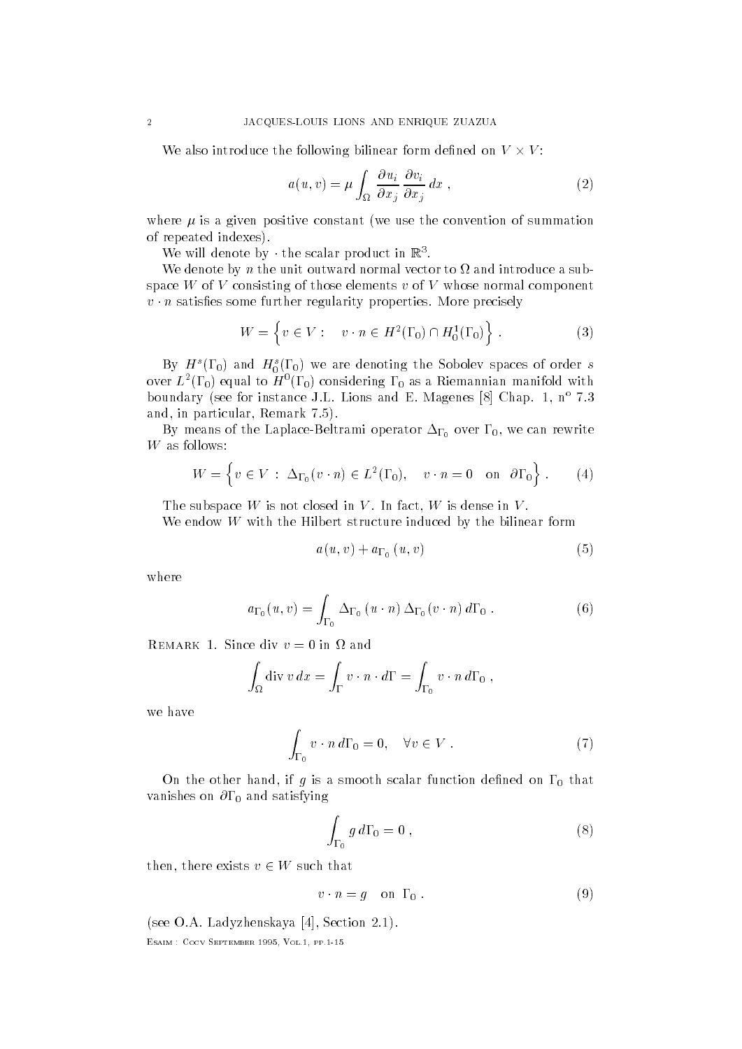We also introduce the following bilinear form defined on  $V \times V$ :

$$
a(u,v) = \mu \int_{\Omega} \frac{\partial u_i}{\partial x_j} \frac{\partial v_i}{\partial x_j} dx , \qquad (2)
$$

where  $\mu$  is a given positive constant (we use the convention of summation of repeated indexes).

we will defible by  $\cdot$  the scalar product in  $\mathbb{R}$ .

We denote by *n* the unit outward normal vector to  $\Omega$  and introduce a subspace W of V consisting of those elements  $v$  of V whose normal component  $\sigma$   $\mu$  satisfies some further regularity properties. More precisely

$$
W = \left\{ v \in V : \quad v \cdot n \in H^2(\Gamma_0) \cap H_0^1(\Gamma_0) \right\} . \tag{3}
$$

By H  $(10)$  and  $H_0(10)$  we are denoting the Sobolev spaces of order s over  $L$   $(1\,0)$  equal to  $H$   $(1\,0)$  considering 1  $_0$  as a Kiemannian mannoid with boundary (see for instance J.L. Lions and E. Magenes  $\otimes$  |  $\vee$ nap. 1, n = 1.5  $\cdots$ and in particular remarks the contract of the contract of the contract of the contract of the contract of the c

 $\mathbf{v}$  means of the LaplaceBeltramin of  $\mathbf{v}$  and  $\mathbf{v}$  and  $\mathbf{v}$  over  $\mathbf{v}$ 

$$
W = \left\{ v \in V : \Delta_{\Gamma_0}(v \cdot n) \in L^2(\Gamma_0), \quad v \cdot n = 0 \quad \text{on} \quad \partial \Gamma_0 \right\} . \tag{4}
$$

The subspace <sup>W</sup> is not closed in <sup>V</sup> - In fact <sup>W</sup> is dense in <sup>V</sup> -

We endow  $W$  with the Hilbert structure induced by the bilinear form

$$
a(u, v) + a_{\Gamma_0}(u, v) \tag{5}
$$

where

$$
a_{\Gamma_0}(u,v) = \int_{\Gamma_0} \Delta_{\Gamma_0}(u \cdot n) \Delta_{\Gamma_0}(v \cdot n) d\Gamma_0.
$$
 (6)

$$
\int_{\Omega} \operatorname{div} v \, dx = \int_{\Gamma} v \cdot n \cdot d\Gamma = \int_{\Gamma_0} v \cdot n \, d\Gamma_0 ,
$$

we have

$$
\int_{\Gamma_0} v \cdot n \, d\Gamma_0 = 0, \quad \forall v \in V . \tag{7}
$$

 $\sigma$ n the other hand, if  $g$  is a smooth scalar function denned on  $\pm 0$  that vanishes on only satisfying

$$
\int_{\Gamma_0} g \, d\Gamma_0 = 0 \;, \tag{8}
$$

then, there exists  $v \in W$  such that

$$
v \cdot n = g \quad \text{on } \Gamma_0 \; . \tag{9}
$$

see O-A- Ladyzhenskaya Section --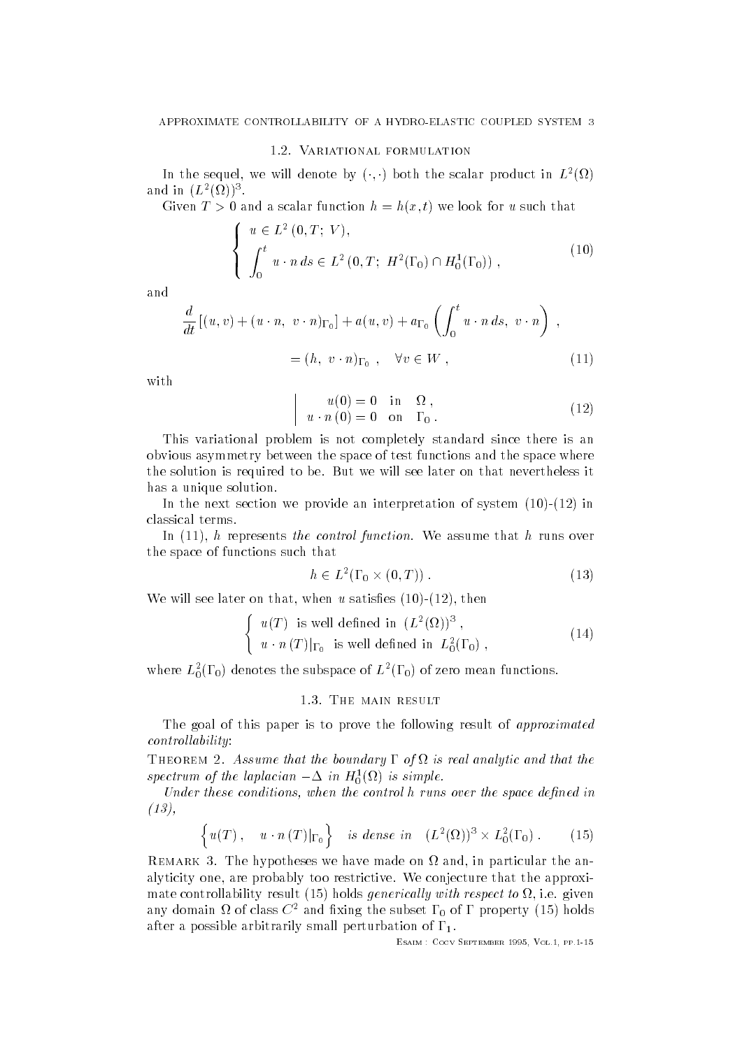### 1.2. VARIATIONAL FORMULATION

In the sequel, we will defible by  $(\cdot, \cdot)$  both the scalar product in  $L$  (sq) anu in  $(L \setminus \{M\})$ .

Given  $I > 0$  and a scalar function  $w = w(x, v)$  we look for weather that

$$
\begin{cases}\n u \in L^{2}(0, T; V), \\
 \int_{0}^{t} u \cdot n \, ds \in L^{2}(0, T; H^{2}(\Gamma_{0}) \cap H_{0}^{1}(\Gamma_{0})) ,\n\end{cases}
$$
\n(10)

and

$$
\frac{d}{dt}\left[(u,v) + (u \cdot n, v \cdot n)_{\Gamma_0}\right] + a(u,v) + a_{\Gamma_0}\left(\int_0^t u \cdot n \, ds, v \cdot n\right) ,
$$
  
=  $(h, v \cdot n)_{\Gamma_0}, \quad \forall v \in W ,$  (11)

with

$$
\begin{array}{cccc}\n u(0) = 0 & \text{in} & \Omega, \\
 u \cdot n(0) = 0 & \text{on} & \Gamma_0.\n\end{array} \tag{12}
$$

This variational problem is not completely standard since there is an obvious asymmetry between the space of test functions and the space where the solution is required to be- But we will see later on that nevertheless it has a unique solution.

In the next section we provide an interpretation of system  $(10)-(12)$  in classical terms-

In  <sup>h</sup> represents the control function- We assume that <sup>h</sup> runs over the space of functions such that

$$
h \in L^2(\Gamma_0 \times (0,T)) \tag{13}
$$

We will see later on that, when u satisfies  $(10)-(12)$ , then

$$
\begin{cases}\n u(T) & \text{is well defined in } (L^2(\Omega))^3, \\
 u \cdot n(T)|_{\Gamma_0} & \text{is well defined in } L^2_0(\Gamma_0),\n\end{cases}
$$
\n(14)

where  $L_0(1\ 0)$  denotes the subspace of  $L_0(1\ 0)$  of zero mean functions.

The goal of this paper is to prove the following result of approximated  $controllability:$ 

THEOREM 2. Assume that the boundary  $\Gamma$  of  $\Omega$  is real analytic and that the spectrum of the taplacian  $-\Delta$  in H<sub>0</sub>(M) is simple.

Under these conditions, when the control  $h$  runs over the space defined in  $(13),$ 

$$
\left\{ u(T), \quad u \cdot n(T)|_{\Gamma_0} \right\} \quad \text{is dense in} \quad (L^2(\Omega))^3 \times L_0^2(\Gamma_0) \ . \tag{15}
$$

REMARK 3. The hypotheses we have made on  $\Omega$  and, in particular the analyticity one are probably too restrictive- We conjecture that the approxi mate controllability result is a controllability with respect to i-quest  $\pi$  . The any domain  $\alpha$  or class  $\infty$  -and nxing the subset F  $_0$  or F property (15) noids after a possible arbitrarily small perturbation of  $\Gamma_1$ .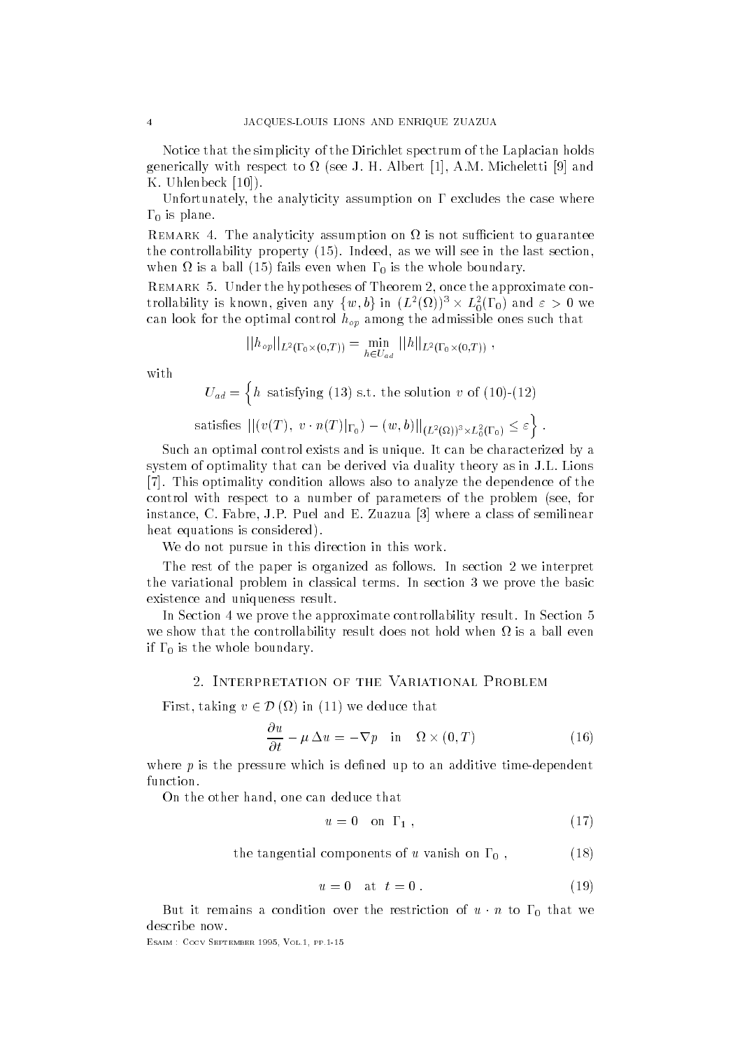Notice that the simplicity of the Dirichlet spectrum of the Laplacian holds  $\mathcal{U}$  with respect to  $\mathcal{U}$  and  $\mathcal{U}$ Uhlenbeck 
-

Unfortunately, the analyticity assumption on  $\Gamma$  excludes the case where - is plane-

REMARK 4. The analyticity assumption on  $\Omega$  is not sufficient to guarantee the controllability property  $\mathcal{L}$  is a we will see in the last section of the last section  $\mathcal{L}$ when is a ball  $\lambda$  is a ball  $\lambda$  is the whole boundary-definition of the whole boundary-definition  $\psi$ 

REMARK 5. Under the hypotheses of Theorem 2, once the approximate controllability is known, given any  $\{w,b\}$  in  $(L^2(\Omega))^3\times L^2_0(\Gamma_0)$  and  $\varepsilon>0$  we can look for the optimal control  $\alpha$   $\mu$  and  $\alpha$  and admissible ones such that

$$
||h_{op}||_{L^2(\Gamma_0\times(0,T))} = \min_{h \in U_{ad}} ||h||_{L^2(\Gamma_0\times(0,T))},
$$

with

 $-$  uad na ang pangangan ang pangangan ang pangangan ang pangangan ang pangangan ang pangangan ang pangangan ang panga h satisfying the solution variable to the solution variable to the solution variable solution variable to the s satisfies  $|| (v(T), v \cdot n(T)|_{\Gamma_0}) - (w, b)||_{(L^2(\Omega))^3 \times L^2_0(\Gamma_0)} \leq \varepsilon \Big\}$  .

Such an optimal control exists and is unique- It can be characterized by a system of optimality that can be derived via duality theory as in J-L- Lions - This optimality condition allows also to analyze the dependence of the control with respect to a number of parameters of the problem (see, for instance C- Fabre J-P- Puel and E- Zuazua where a class of semilinear heat equations is considered).

We do not pursue in this direction in this work.

The rest of the paper is organized as follows- In section we interpret the variational problem in classical terms- In section we prove the basic existence and uniqueness result.

In Section we prove the approximate controllability result- In Section we show that the controllability result does not hold when  $\Omega$  is a ball even if the whole boundary-term in the whole boundary-term in the whole boundary-term in the whole boundary-term in

First, taking  $v \in \mathcal{D}(\Omega)$  in (11) we deduce that

$$
\frac{\partial u}{\partial t} - \mu \Delta u = -\nabla p \quad \text{in} \quad \Omega \times (0, T) \tag{16}
$$

where  $p$  is the pressure which is defined up to an additive time-dependent function.

On the other hand, one can deduce that

$$
u = 0 \quad \text{on} \quad \Gamma_1 \tag{17}
$$

the tangential components of u vanish on  $\Gamma_0$ , 

$$
u = 0 \quad \text{at} \quad t = 0 \tag{19}
$$

But it remains a condition over the restriction of  $u \cdot n$  to  $\mathbf{1}_0$  that we describe now.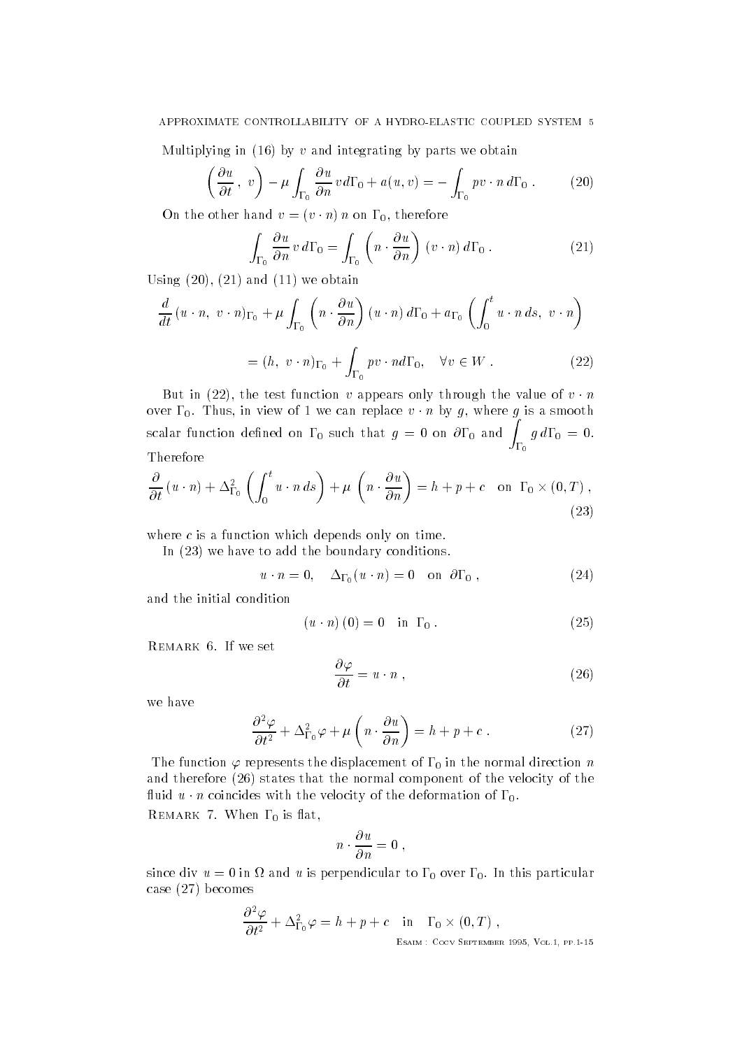Multiplying in  $(16)$  by v and integrating by parts we obtain

$$
\left(\frac{\partial u}{\partial t}, v\right) - \mu \int_{\Gamma_0} \frac{\partial u}{\partial n} v d\Gamma_0 + a(u, v) = - \int_{\Gamma_0} pv \cdot n d\Gamma_0 . \tag{20}
$$

On the other hand  $v = (v \cdot n) n$  on  $r_0$ , therefore

$$
\int_{\Gamma_0} \frac{\partial u}{\partial n} v \, d\Gamma_0 = \int_{\Gamma_0} \left( n \cdot \frac{\partial u}{\partial n} \right) (v \cdot n) \, d\Gamma_0 \,. \tag{21}
$$

Using  $(20)$ ,  $(21)$  and  $(11)$  we obtain

$$
\frac{d}{dt} (u \cdot n, v \cdot n)_{\Gamma_0} + \mu \int_{\Gamma_0} \left( n \cdot \frac{\partial u}{\partial n} \right) (u \cdot n) d\Gamma_0 + a_{\Gamma_0} \left( \int_0^t u \cdot n ds, v \cdot n \right)
$$

$$
= (h, v \cdot n)_{\Gamma_0} + \int_{\Gamma_0} pv \cdot n d\Gamma_0, \quad \forall v \in W . \tag{22}
$$

But in (22), the test function v appears only through the value of  $v \cdot n$ over  $10$ . Thus, in view of T we can replace  $v \cdot n$  by  $g$ , where  $g$  is a smooth scalar function defined on  $\Gamma_0$  such that  $g\,=\,0$  on  $\partial\Gamma_0$  and  $\int_{-\infty}^{\infty}g$  $\Gamma_0$   $y$  are  $y = 0$ . Therefore

$$
\frac{\partial}{\partial t} (u \cdot n) + \Delta_{\Gamma_0}^2 \left( \int_0^t u \cdot n \, ds \right) + \mu \left( n \cdot \frac{\partial u}{\partial n} \right) = h + p + c \quad \text{on } \Gamma_0 \times (0, T) ,
$$
\n(23)

where  $c$  is a function which depends only on time.

In  $(23)$  we have to add the boundary conditions.

$$
u \cdot n = 0, \quad \Delta_{\Gamma_0}(u \cdot n) = 0 \quad \text{on } \partial \Gamma_0 , \qquad (24)
$$

and the initial condition

$$
(u \cdot n) (0) = 0 \quad \text{in } \Gamma_0 . \tag{25}
$$

REMARK 6. If we set

$$
\frac{\partial \varphi}{\partial t} = u \cdot n \tag{26}
$$

we have

$$
\frac{\partial^2 \varphi}{\partial t^2} + \Delta_{\Gamma_0}^2 \varphi + \mu \left( n \cdot \frac{\partial u}{\partial n} \right) = h + p + c \ . \tag{27}
$$

The function represents the displacement of - in the normal direction <sup>n</sup> and therefore (26) states that the normal component of the velocity of the  $\lim_{u \to u} u \cdot n$  coincides with the velocity of the deformation of F<sub>0</sub>.

remarks and the set of the contract of the contract of the contract of the contract of the contract of the con

$$
n\cdot\frac{\partial\,u}{\partial\,n}=0\,\,,
$$

since div a country what perpendicular to  $\pm 0$  over  $\pm 0$ , and this particular components case  $(27)$  becomes

$$
\frac{\partial^2 \varphi}{\partial t^2} + \Delta_{\Gamma_0}^2 \varphi = h + p + c \quad \text{in} \quad \Gamma_0 \times (0, T) ,
$$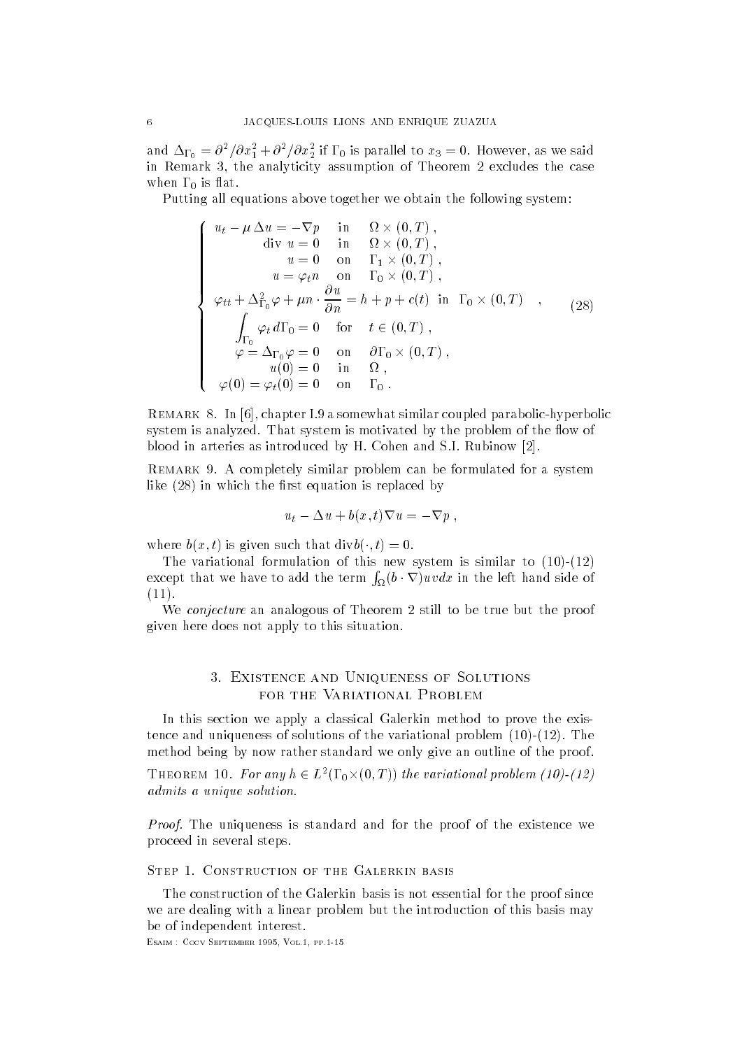and  $\Delta\Gamma_0 = 0$  /0 $x_1$  + 0 /0 $x_2$  if 1 0 is parallel to  $x_3 = 0$ . However, as we said in Remark 3, the analyticity assumption of Theorem 2 excludes the case when  $\sim$  when  $\sim$ 

Putting all equations above together we obtain the following system

$$
\begin{cases}\n u_t - \mu \Delta u = -\nabla p & \text{in} \quad \Omega \times (0, T) , \\
 \text{div } u = 0 & \text{in} \quad \Omega \times (0, T) , \\
 u = 0 & \text{on} \quad \Gamma_1 \times (0, T) , \\
 u = \varphi_t n & \text{on} \quad \Gamma_0 \times (0, T) , \\
 \varphi_{tt} + \Delta_{\Gamma_0}^2 \varphi + \mu n \cdot \frac{\partial u}{\partial n} = h + p + c(t) & \text{in} \quad \Gamma_0 \times (0, T) , \\
 \int_{\Gamma_0} \varphi_t d\Gamma_0 = 0 & \text{for} \quad t \in (0, T) , \\
 \varphi = \Delta_{\Gamma_0} \varphi = 0 & \text{on} \quad \partial \Gamma_0 \times (0, T) , \\
 u(0) = 0 & \text{in} \quad \Omega , \\
 \varphi(0) = \varphi_t(0) = 0 & \text{on} \quad \Gamma_0 .\n\end{cases} (28)
$$

Remark In chapter I- a somewhat similar coupled parabolichyperbolic system is analyzed- That system is motivated by the problem of the ow of blood in arteries as introduced by H- Cohen and S-I- Rubinow -

REMARK 9. A completely similar problem can be formulated for a system like  $(28)$  in which the first equation is replaced by

$$
u_t - \Delta u + b(x, t)\nabla u = -\nabla p ,
$$

where  $v(x, t)$  is given such that  $u(vv(\cdot, t) = 0$ .

The variational formulation of this new system is similar to  $(10)-(12)$ except that we have to add the term  $\int_{\Omega}(b\cdot\nabla)uvdx$  in the left hand side of  $(11).$ 

We conjecture an analogous of Theorem 2 still to be true but the proof given here does not apply to this situation-

#### 3. EXISTENCE AND UNIQUENESS OF SOLUTIONS Existence and Uniqueness of Solutions FOR THE VARIATIONAL PROBLEM

In this section we apply a classical Galerkin method to prove the exis tence and uniqueness of the variations of the variations of the variations of the variations of the variations of the variations of the variations of the variation  $\Gamma$ method being by now rather standard we only give an outline of the proof-

THEOREM 10. For any  $h \in L^2(\Gamma_0\times (0,T))$  the variational problem (10)-(12) admits a unique solution.

Proof- The uniqueness is standard and for the proof of the existence we proceed in several steps-

The construction of the Galerkin basis is not essential for the proof since we are dealing with a linear problem but the introduction of this basis may be of independent interest.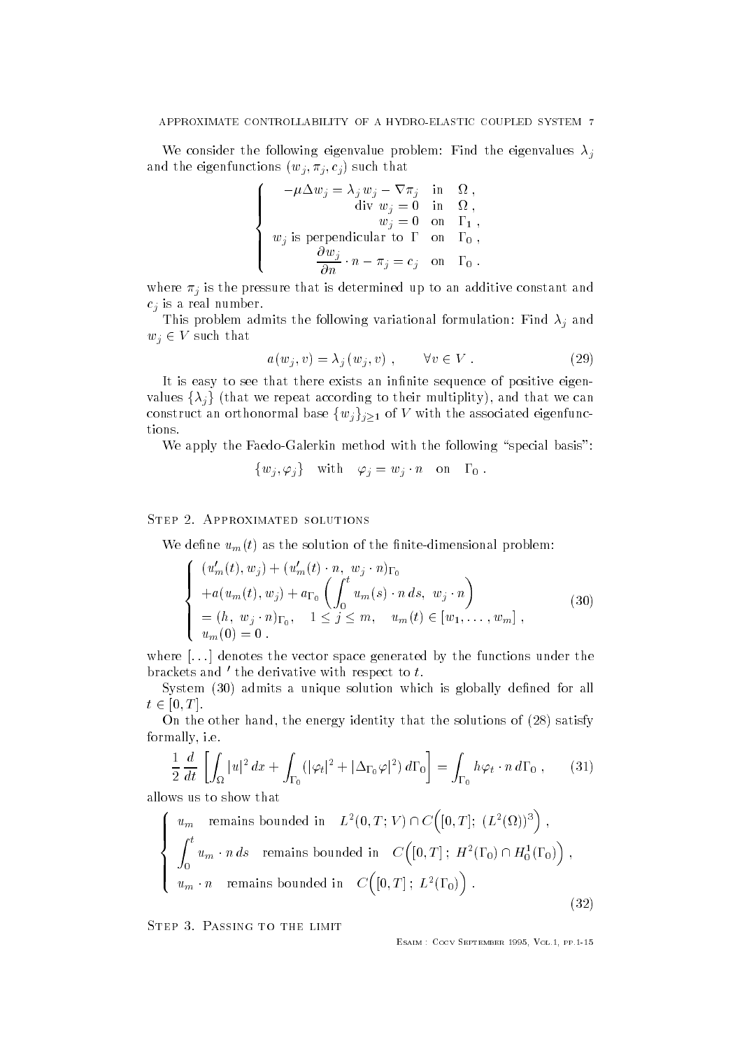we consider the following eigenvalue problem  $\sigma$  . The eigenvalues  $\sigma$  is the eigenvalues of  $\sigma$ and the eigenfunctions  $(w_j, w_j, e_j)$  such that

$$
\left\{\begin{array}{rl} -\mu \Delta w_j=\lambda_j\,w_j-\nabla \pi_j &\text{in} & \Omega\;,\\ \text{div}\;w_j=0 &\text{in} & \Omega\;,\\ w_j=0 &\text{on} & \Gamma_1\;,\\ w_j\text{ is perpendicular to }\Gamma &\text{on} & \Gamma_0\;,\\ \frac{\partial w_j}{\partial n}\cdot n-\pi_j=c_j &\text{on} & \Gamma_0\;. \end{array}\right.
$$

where <sup>j</sup> is the pressure that is determined up to an additive constant and  $c_i$  is a real number.

 $\sim$  1000 problem admits the following variation formulation for  $\sim$  1000  $\mu$  and  $\sim$  $w_j \in V$  such that

$$
a(w_j, v) = \lambda_j(w_j, v) , \qquad \forall v \in V .
$$
 (29)

It is easy to see that there exists an infinite sequence of positive eigenvalues  $\{\lambda_i\}$  (that we repeat according to their multiplity), and that we can construct an orthonormal base  $\{w_j\}_{j\geq 1}$  of V with the associated eigenfunctions.

We apply the Faedo-Galerkin method with the following "special basis":

$$
\{w_j, \varphi_j\} \quad \text{with} \quad \varphi_j = w_j \cdot n \quad \text{on} \quad \Gamma_0 \; .
$$

### STEP 2. APPROXIMATED SOLUTIONS

We define  $u_m(t)$  as the solution of the finite-dimensional problem:

$$
\begin{cases}\n(u'_m(t), w_j) + (u'_m(t) \cdot n, w_j \cdot n)_{\Gamma_0} \\
+ a(u_m(t), w_j) + a_{\Gamma_0} \left( \int_0^t u_m(s) \cdot n \, ds, w_j \cdot n \right) \\
= (h, w_j \cdot n)_{\Gamma_0}, \quad 1 \le j \le m, \quad u_m(t) \in [w_1, \dots, w_m], \\
u_m(0) = 0.\n\end{cases}
$$
\n(30)

where  $\left[ \ldots \right]$  denotes the vector space generated by the functions under the brackets and  $\prime$  the derivative with respect to  $t$ .

System (30) admits a unique solution which is globally defined for all  $t \in [0, T]$ .

On the other hand, the energy identity that the solutions of  $(28)$  satisfy formally i-e-

$$
\frac{1}{2}\frac{d}{dt}\left[\int_{\Omega}|u|^{2} dx + \int_{\Gamma_{0}}(|\varphi_{t}|^{2} + |\Delta_{\Gamma_{0}}\varphi|^{2}) d\Gamma_{0}\right] = \int_{\Gamma_{0}} h\varphi_{t} \cdot n d\Gamma_{0} , \qquad (31)
$$

allows us to show that

$$
\begin{cases}\nu_m \quad \text{remains bounded in} & L^2(0,T;V) \cap C\big([0,T]; (L^2(\Omega))^3\big) \;, \\
\int_0^t u_m \cdot n \, ds \quad \text{remains bounded in} & C\big([0,T]; H^2(\Gamma_0) \cap H_0^1(\Gamma_0)\big) \;, \\
u_m \cdot n \quad \text{remains bounded in} & C\big([0,T]; L^2(\Gamma_0)\big) \;. \end{cases} \tag{32}
$$

STEP 3. PASSING TO THE LIMIT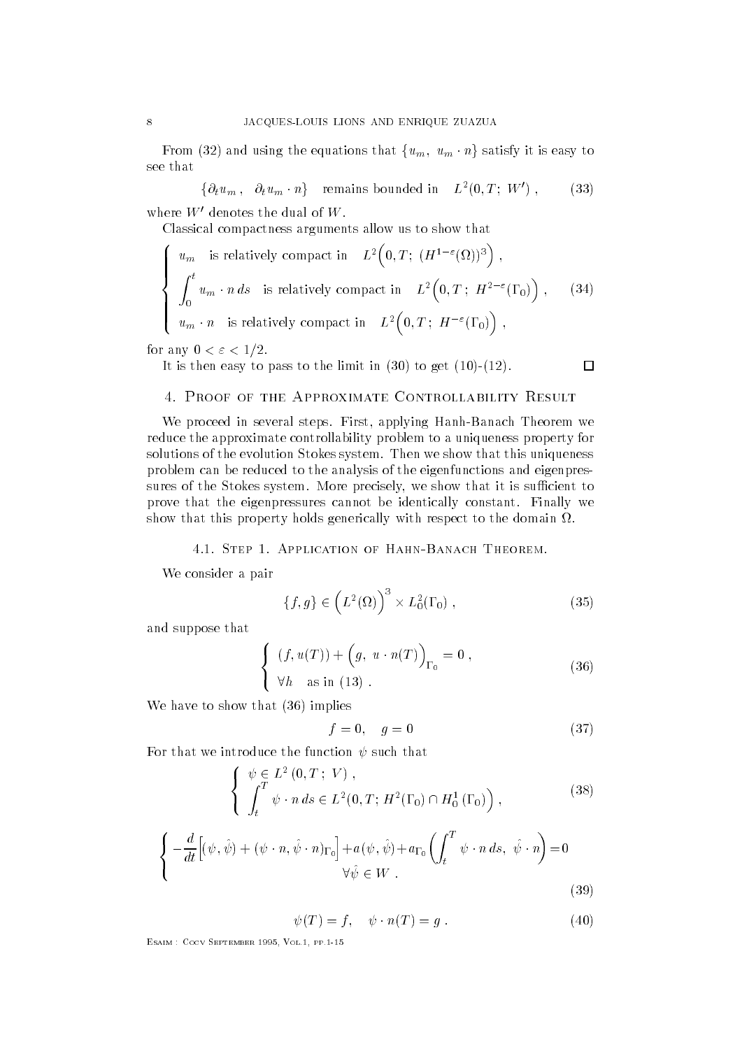From (32) and using the equations that  $\{u_m,\;u_m\cdot n\}$  satisfy it is easy to see that

$$
\{\partial_t u_m, \partial_t u_m \cdot n\} \quad \text{remains bounded in} \quad L^2(0,T; W') \; , \tag{33}
$$

where  $W'$  denotes the dual of  $W$ .

Classical compactness arguments allow us to show that

$$
\begin{cases}\nu_m & \text{is relatively compact in} \quad L^2\Big(0, T; \ (H^{1-\varepsilon}(\Omega))^3\Big) \;, \\
\int_0^t u_m \cdot n \, ds & \text{is relatively compact in} \quad L^2\Big(0, T; \ H^{2-\varepsilon}(\Gamma_0)\Big) \;, \qquad (34) \\
u_m \cdot n & \text{is relatively compact in} \quad L^2\Big(0, T; \ H^{-\varepsilon}(\Gamma_0)\Big) \;, \end{cases}
$$

for any  $0 < \varepsilon < 1/2$ .

It is then easy to pass to the limit in  $(30)$  to get  $(10)-(12)$ .

## 4. PROOF OF THE APPROXIMATE CONTROLLABILITY RESULT

we proceed in several steps-steps-dimensional steps-steps-steps-steps-steps-steps-steps-steps-steps-steps-step reduce the approximate controllability problem to a uniqueness property for solutions of the evolution Stokes system- Then we show that this uniqueness problem can be reduced to the analysis of the eigenfunctions and eigenpres sures of the Stokes system- More precisely we show that it is sucient to prove that the eigenpressures cannot be identically constant- Finally we show that this property holds generically with respect to the domain  $\Omega$ .

We consider a pair of the pair of the pair of the pair of the pair of the pair of the pair of the pair of the

$$
\{f,g\} \in \left(L^2(\Omega)\right)^3 \times L_0^2(\Gamma_0) ,\qquad (35)
$$

 $\Box$ 

and suppose that

-

$$
\begin{cases}\n(f, u(T)) + (g, u \cdot n(T))_{\Gamma_0} = 0, \\
\forall h \text{ as in (13)}.\n\end{cases}
$$
\n(36)

We have to show that  $(36)$  implies

$$
f = 0, \quad g = 0 \tag{37}
$$

For that we introduce the function  $\psi$  such that

$$
\begin{cases}\n\psi \in L^{2}(0, T; V) , \\
\int_{t}^{T} \psi \cdot n ds \in L^{2}(0, T; H^{2}(\Gamma_{0}) \cap H_{0}^{1}(\Gamma_{0})) , \\
\left\{-\frac{d}{dt} \Big[(\psi, \hat{\psi}) + (\psi \cdot n, \hat{\psi} \cdot n)_{\Gamma_{0}} \Big] + a(\psi, \hat{\psi}) + a_{\Gamma_{0}} \left(\int_{t}^{T} \psi \cdot n ds, \hat{\psi} \cdot n \right) = 0 \\
\forall \hat{\psi} \in W .\n\end{cases}
$$
\n(39)

 $\psi(1) = 1, \quad \psi \cdot n(1) = 0.$  (40)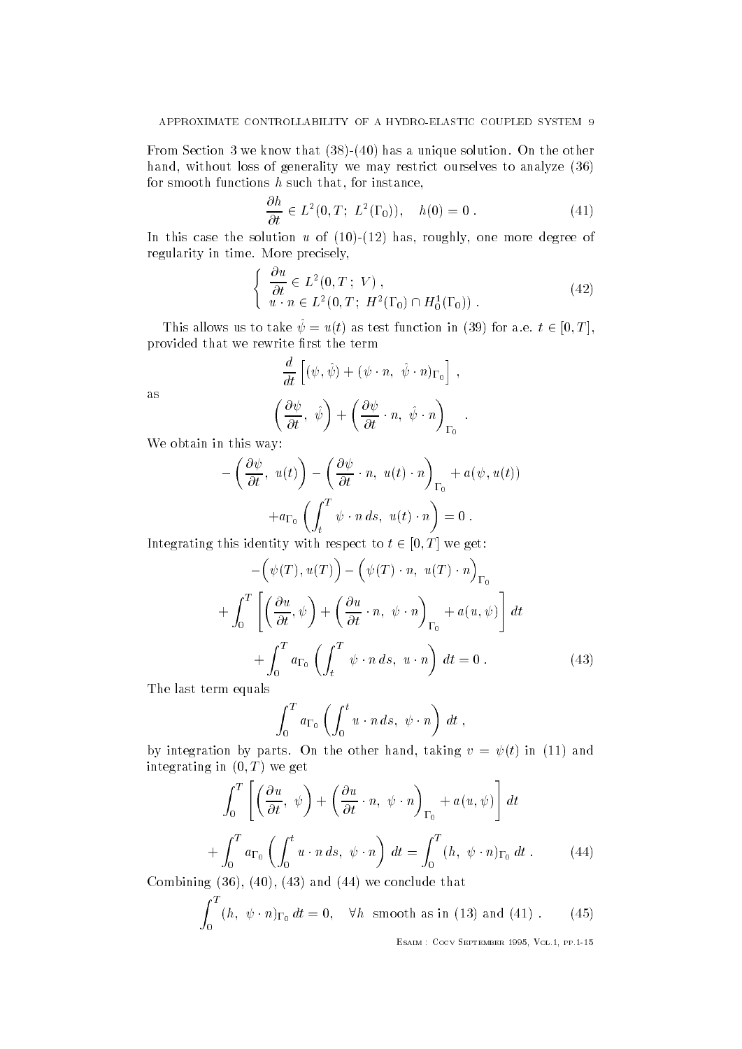$\mathbf{F} = \mathbf{F} \mathbf{F}$ hand, without loss of generality we may restrict ourselves to analyze  $(36)$ for smooth functions  $h$  such that, for instance,

$$
\frac{\partial h}{\partial t} \in L^2(0, T; L^2(\Gamma_0)), \quad h(0) = 0.
$$
 (41)

In this case the solution u of  $(10)-(12)$  has, roughly, one more degree of regularity in time- More precisely

$$
\begin{cases} \frac{\partial u}{\partial t} \in L^2(0, T; V) ,\\ u \cdot n \in L^2(0, T; H^2(\Gamma_0) \cap H_0^1(\Gamma_0)) . \end{cases}
$$
\n
$$
(42)
$$

This allows us to take  $\psi = u(t)$  as test function in (39) for a.e.  $t \in [0, T]$ , provided that we rewrite first the term provided that we rewrite rewrite rewrite rewrite rewrite rewrite rewrite rewrite rewrite rewrite rewrite rewri

$$
\frac{d}{dt}\left[ (\psi, \hat{\psi}) + (\psi \cdot n, \hat{\psi} \cdot n)_{\Gamma_0} \right],
$$

$$
\left( \frac{\partial \psi}{\partial t}, \hat{\psi} \right) + \left( \frac{\partial \psi}{\partial t} \cdot n, \hat{\psi} \cdot n \right)_{\Gamma_0}.
$$

as

We obtain in this way

$$
-\left(\frac{\partial \psi}{\partial t}, u(t)\right) - \left(\frac{\partial \psi}{\partial t} \cdot n, u(t) \cdot n\right)_{\Gamma_0} + a(\psi, u(t))
$$

$$
+ a_{\Gamma_0} \left(\int_t^T \psi \cdot n \, ds, u(t) \cdot n\right) = 0.
$$

Integrating this identity with respect to  $t \in [0, T]$  we get:

$$
-\left(\psi(T), u(T)\right) - \left(\psi(T) \cdot n, u(T) \cdot n\right)_{\Gamma_0}
$$

$$
+\int_0^T \left[\left(\frac{\partial u}{\partial t}, \psi\right) + \left(\frac{\partial u}{\partial t} \cdot n, \psi \cdot n\right)_{\Gamma_0} + a(u, \psi)\right] dt
$$

$$
+\int_0^T a_{\Gamma_0} \left(\int_t^T \psi \cdot n \, ds, u \cdot n\right) dt = 0.
$$
(43)

The last term equals

$$
\int_0^T a_{\Gamma_0} \left( \int_0^t u \cdot n \, ds, \psi \cdot n \right) dt ,
$$

 $\sigma$  integration by parts. Since sthe rand, taking  $\sigma = \gamma(\sigma)$  in (11) and integrating in  $(0, 1)$  we get

$$
\int_0^T \left[ \left( \frac{\partial u}{\partial t}, \psi \right) + \left( \frac{\partial u}{\partial t} \cdot n, \psi \cdot n \right)_{\Gamma_0} + a(u, \psi) \right] dt
$$
  
+ 
$$
\int_0^T a_{\Gamma_0} \left( \int_0^t u \cdot n \, ds, \psi \cdot n \right) dt = \int_0^T (h, \psi \cdot n)_{\Gamma_0} dt . \tag{44}
$$

Combining  $(36)$ ,  $(40)$ ,  $(43)$  and  $(44)$  we conclude that

$$
\int_0^T (h, \ \psi \cdot n)_{\Gamma_0} \, dt = 0, \quad \forall h \text{ smooth as in (13) and (41).} \tag{45}
$$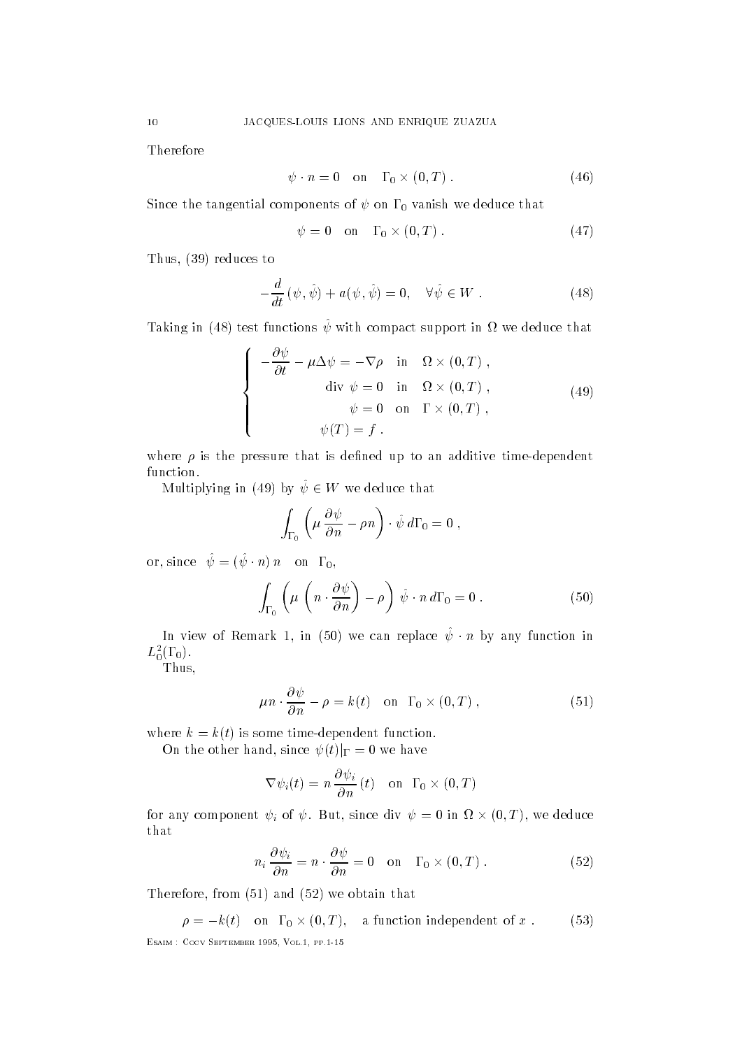Therefore

$$
\psi \cdot n = 0 \quad \text{on} \quad \Gamma_0 \times (0, T) \,. \tag{46}
$$

 $S = \begin{bmatrix} 1 & 1 & 0 \\ 0 & 1 & 1 \end{bmatrix}$  we deduce that  $\begin{bmatrix} 1 & 0 \\ 0 & 1 \end{bmatrix}$ 

$$
\psi = 0 \quad \text{on} \quad \Gamma_0 \times (0, T) \,. \tag{47}
$$

Thus,  $(39)$  reduces to

$$
-\frac{d}{dt}(\psi,\hat{\psi}) + a(\psi,\hat{\psi}) = 0, \quad \forall \hat{\psi} \in W . \tag{48}
$$

Taking in (48) test functions  $\hat{\psi}$  with compact support in  $\Omega$  we deduce that

$$
\begin{cases}\n-\frac{\partial \psi}{\partial t} - \mu \Delta \psi = -\nabla \rho & \text{in} \quad \Omega \times (0, T) ,\n\text{div } \psi = 0 & \text{in} \quad \Omega \times (0, T) ,\n\psi = 0 & \text{on} \quad \Gamma \times (0, T) ,\n\psi(T) = f .\n\end{cases}
$$
\n(49)

where  $\rho$  is the pressure that is defined up to an additive time-dependent function.

Multiplying in (49) by  $\psi \in W$  we deduce that

$$
\int_{\Gamma_0} \left( \mu \, \frac{\partial \psi}{\partial n} - \rho n \right) \cdot \hat{\psi} \, d\Gamma_0 = 0 \;,
$$

or, since  $\psi = (\psi : n) n$  on  $\pm 0$ ,

$$
\int_{\Gamma_0} \left( \mu \left( n \cdot \frac{\partial \psi}{\partial n} \right) - \rho \right) \hat{\psi} \cdot n \, d\Gamma_0 = 0 \; . \tag{50}
$$

In view of Remark 1, in (50) we can replace  $\psi$  on by any function in  $L_0(1,0)$ .

Thus

$$
\mu n \cdot \frac{\partial \psi}{\partial n} - \rho = k(t) \quad \text{on} \quad \Gamma_0 \times (0, T) \tag{51}
$$

where  $k = k(t)$  is some time-dependent function.

On the other hand, since  $\psi(t)|_{\Gamma} = 0$  we have

$$
\nabla \psi_i(t) = n \frac{\partial \psi_i}{\partial n}(t) \quad \text{on} \ \Gamma_0 \times (0, T)
$$

for any component  $\psi_i$  of  $\psi$ . But, since div  $\psi = 0$  in  $\Omega \times (0,T) ,$  we deduce that

$$
n_i \frac{\partial \psi_i}{\partial n} = n \cdot \frac{\partial \psi}{\partial n} = 0 \quad \text{on} \quad \Gamma_0 \times (0, T) \ . \tag{52}
$$

Therefore, from  $(51)$  and  $(52)$  we obtain that

Esaim - Cocv September Vol pp 

 $\rho = -k(t)$  on  $\Gamma_0 \times (0,T)$ , a function independent of x. (53)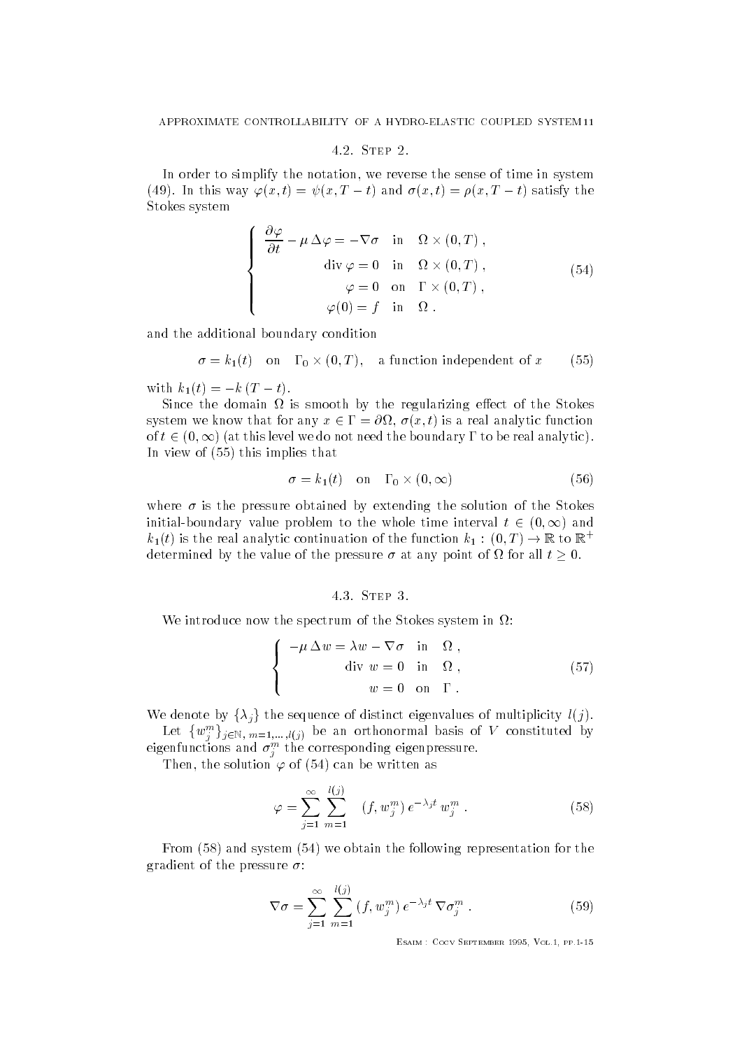#### 4.2. STEP 2.

In order to simplify the notation, we reverse the sense of time in system  $\chi$  and the way  $\varphi(x, t) = \psi(x, t - t)$  and  $\psi(x, t) = \psi(x, t - t)$  satisfy the Stokes system

$$
\begin{cases}\n\frac{\partial \varphi}{\partial t} - \mu \Delta \varphi = -\nabla \sigma & \text{in} \quad \Omega \times (0, T) , \\
\text{div } \varphi = 0 & \text{in} \quad \Omega \times (0, T) , \\
\varphi = 0 & \text{on} \quad \Gamma \times (0, T) , \\
\varphi(0) = f & \text{in} \quad \Omega .\n\end{cases}
$$
\n(54)

and the additional boundary condition

$$
\sigma = k_1(t) \quad \text{on} \quad \Gamma_0 \times (0, T), \quad \text{a function independent of } x \tag{55}
$$

with  $k_1(t) = -k(T - t)$ .

Since the domain  $\Omega$  is smooth by the regularizing effect of the Stokes system we know that for any  $x \in \Gamma = \partial \Omega$ ,  $\sigma(x,t)$  is a real analytic function of  $t\in (0,\infty)$  (at this level we do not need the boundary  $\Gamma$  to be real analytic). In view of  $(55)$  this implies that

$$
\sigma = k_1(t) \quad \text{on} \quad \Gamma_0 \times (0, \infty) \tag{56}
$$

where  $\sigma$  is the pressure obtained by extending the solution of the Stokes initial-boundary value problem to the whole time interval  $t\, \in\, (0,\infty)$  and  $\kappa_1(t)$  is the real analytic continuation of the function  $\kappa_1: (0, T) \to \mathbb{K}$  to  $\mathbb{K}^+$ determined by the value of the pressure  $\sigma$  at any point of  $\Omega$  for all  $t \geq 0$ .

### 4.3. STEP 3.

We introduce now the spectrum of the Stokes system in  $\Omega$ :

$$
\begin{cases}\n-\mu \Delta w = \lambda w - \nabla \sigma & \text{in} \quad \Omega, \\
\text{div } w = 0 & \text{in} \quad \Omega, \\
w = 0 & \text{on} \quad \Gamma.\n\end{cases}
$$
\n(57)

We denote by  $\{\lambda_i\}$  the sequence of distinct eigenvalues of multiplicity  $l(j)$ . Let  $\{w_j^m\}_{j\in\mathbb{N},\ m=1,\dots,l(j)}$  be an orthonormal basis of  $V$  constituted by

eigenfunctions and  $\sigma_j^-$  the corresponding eigenpressure.

Then, the solution  $\varphi$  of (54) can be written as

$$
\varphi = \sum_{j=1}^{\infty} \sum_{m=1}^{l(j)} \left( f, w_j^m \right) e^{-\lambda_j t} w_j^m . \tag{58}
$$

From  $(58)$  and system  $(54)$  we obtain the following representation for the gradient of the pressure  $\sigma$ :

$$
\nabla \sigma = \sum_{j=1}^{\infty} \sum_{m=1}^{l(j)} (f, w_j^m) e^{-\lambda_j t} \nabla \sigma_j^m . \qquad (59)
$$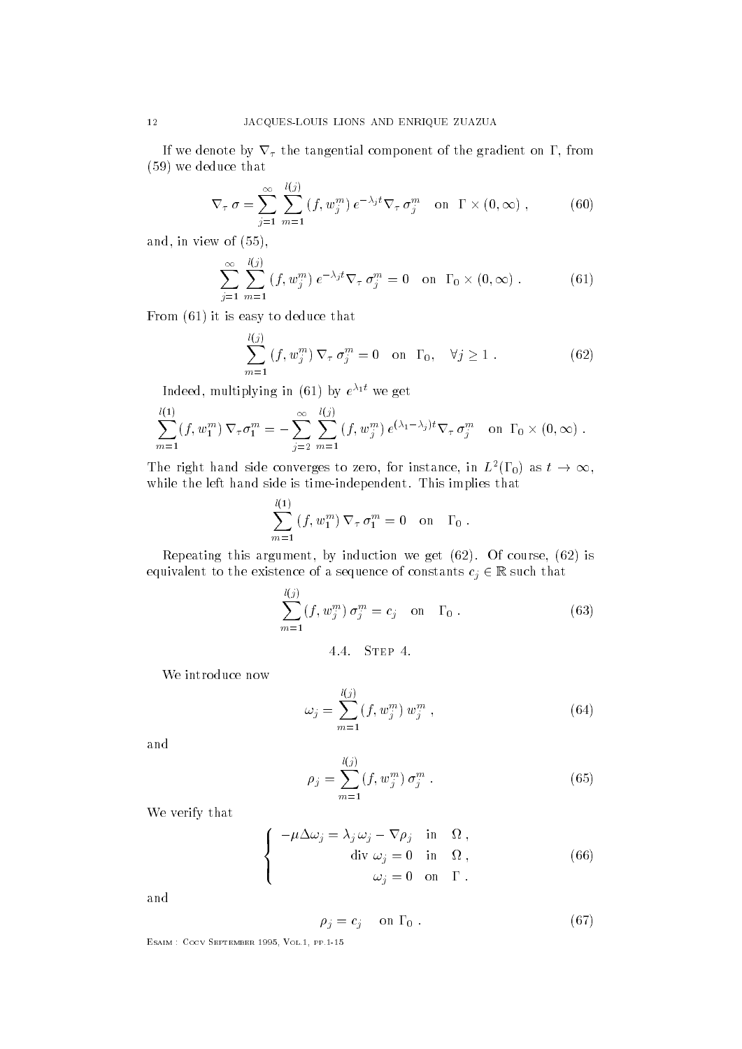If we denote by  $\nabla_{\tau}$  the tangential component of the gradient on  $\Gamma$ , from  $(59)$  we deduce that

$$
\nabla_{\tau}\sigma = \sum_{j=1}^{\infty}\sum_{m=1}^{l(j)}\left(f, w_j^m\right)e^{-\lambda_j t}\nabla_{\tau}\sigma_j^m \quad \text{on } \Gamma \times (0, \infty) ,\tag{60}
$$

and, in view of  $(55)$ ,

$$
\sum_{j=1}^{\infty} \sum_{m=1}^{l(j)} (f, w_j^m) e^{-\lambda_j t} \nabla_{\tau} \sigma_j^m = 0 \quad \text{on} \quad \Gamma_0 \times (0, \infty) . \tag{61}
$$

From  $(61)$  it is easy to deduce that

$$
\sum_{m=1}^{l(j)} (f, w_j^m) \nabla_\tau \sigma_j^m = 0 \quad \text{on } \Gamma_0, \quad \forall j \ge 1.
$$
 (62)

 $\frac{1}{2}$  intermediate in (0.1) by  $e + w$ e get

$$
\sum_{m=1}^{l(1)} (f, w_1^m) \nabla_{\tau} \sigma_1^m = - \sum_{j=2}^{\infty} \sum_{m=1}^{l(j)} (f, w_j^m) e^{(\lambda_1 - \lambda_j)t} \nabla_{\tau} \sigma_j^m \text{ on } \Gamma_0 \times (0, \infty).
$$

The right hand side converges to zero, for instance, in  $L^2(\Gamma_0)$  as  $t\to\infty,$ while the left hand side is time is time in the left hand side is time in the left hand side is time in the left hand side  $\Gamma$ 

$$
\sum_{m=1}^{l(1)} (f, w_1^m) \nabla_{\tau} \sigma_1^m = 0 \text{ on } \Gamma_0.
$$

Repeating this argument by induction we get - Of course  is equivalent to the existence of a sequence of constants  $c_j \in \mathbb{K}$  such that

$$
\sum_{m=1}^{l(j)} (f, w_j^m) \sigma_j^m = c_j \quad \text{on} \quad \Gamma_0 \ . \tag{63}
$$

 $\mathbf{r}$ 

We introduce now

$$
\omega_j = \sum_{m=1}^{l(j)} (f, w_j^m) w_j^m , \qquad (64)
$$

and

$$
\rho_j = \sum_{m=1}^{l(j)} (f, w_j^m) \sigma_j^m . \tag{65}
$$

We verify that

$$
\begin{cases}\n-\mu \Delta \omega_j = \lambda_j \omega_j - \nabla \rho_j & \text{in } \Omega, \\
\text{div } \omega_j = 0 & \text{in } \Omega, \\
\omega_j = 0 & \text{on } \Gamma.\n\end{cases}
$$
\n(66)

and

$$
\rho_j = c_j \quad \text{on } \Gamma_0 . \tag{67}
$$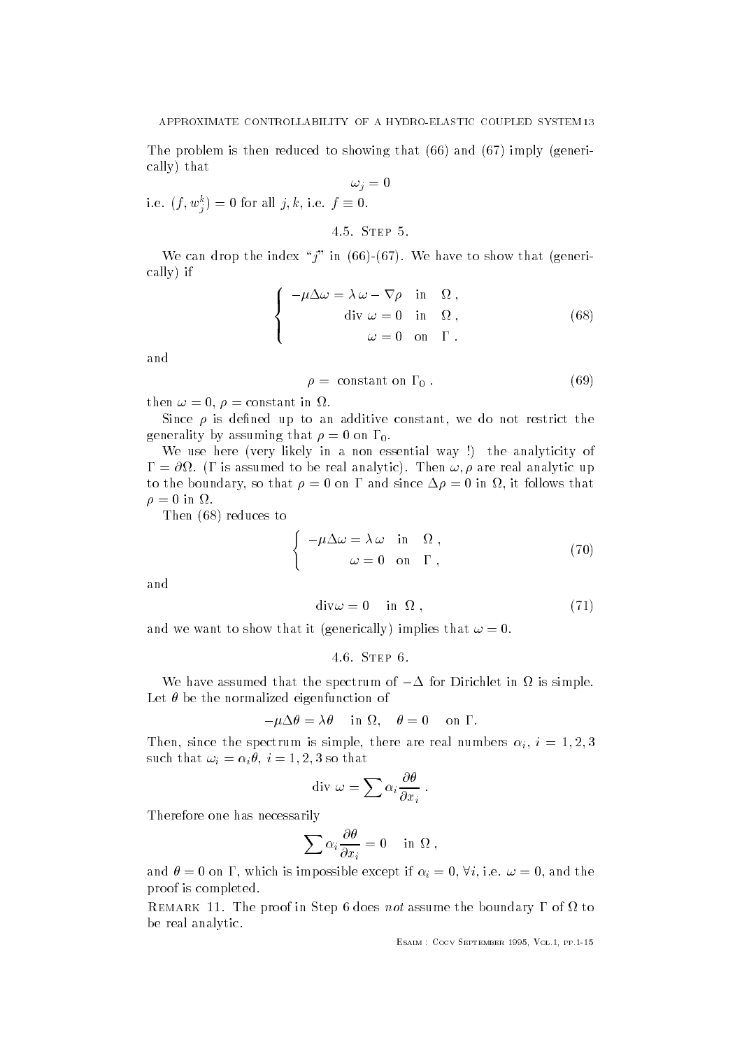The problem is then reduced to showing that  $(66)$  and  $(67)$  imply (generically that

 $\omega_j=0$ i.e.  $(f, w_j^*) = 0$  for all  $f, k, i.e.$   $f = 0$ .

4.5. STEP 5.

which are the interest of the first first indicated the show that following the show that general contracts and cally if

$$
\begin{cases}\n-\mu \Delta \omega = \lambda \omega - \nabla \rho & \text{in } \Omega, \\
\text{div } \omega = 0 & \text{in } \Omega, \\
\omega = 0 & \text{on } \Gamma.\n\end{cases}
$$
\n(68)

$$
\rho = constant on \Gamma_0. \tag{69}
$$

then  $\omega = 0$ ,  $\rho = constant$  in  $\Omega$ .

Since  $\rho$  is defined up to an additive constant, we do not restrict the o v o l = v

We use here (very likely in a non essential way!) the analyticity of  $\mathbf{r} = \mathbf{r}$  is assumed to be real analytic). Then  $\mathbf{w}, \mathbf{p}$  are real analytic up to the boundary, so that  $\rho = 0$  on  $\Gamma$  and since  $\Delta \rho = 0$  in  $\Omega$ , it follows that  $\rho = 0$  in  $\Omega$ .

Then  $(68)$  reduces to

$$
\begin{cases}\n-\mu \Delta \omega = \lambda \omega & \text{in } \Omega, \\
\omega = 0 & \text{on } \Gamma,\n\end{cases}
$$
\n(70)

and

$$
\operatorname{div}\omega = 0 \quad \text{in } \Omega \;, \tag{71}
$$

and we want to show that it (generically) implies that  $\omega = 0$ .

We have assumed that the spectrum of  $-\Delta$  for Dirichlet in  $\Omega$  is simple. Let  $\theta$  be the normalized eigenfunction of

 $-\mu\Delta v = \lambda v$  in  $\Omega$ ,  $v = 0$  on  $\Gamma$ .

Then, since the spectrum is simple, there are real numbers  $\alpha_i$ ,  $i = 1, 2, 0$ such that  $\omega_i = \alpha_i v, i = 1, 2, 0$  so that

$$
\operatorname{div} \omega = \sum \alpha_i \frac{\partial \theta}{\partial x_i} .
$$

Therefore one has necessarily

$$
\sum \alpha_i \frac{\partial \theta}{\partial x_i} = 0 \quad \text{ in } \Omega ,
$$

and  $\theta = 0$  on  $\Gamma$ , which is impossible except if  $\alpha_i = 0$ ,  $\forall i$ , i.e.  $\omega = 0$ , and the proof is completed.

Remark -- The proof in Step does not assume the boundary of to be real analytic.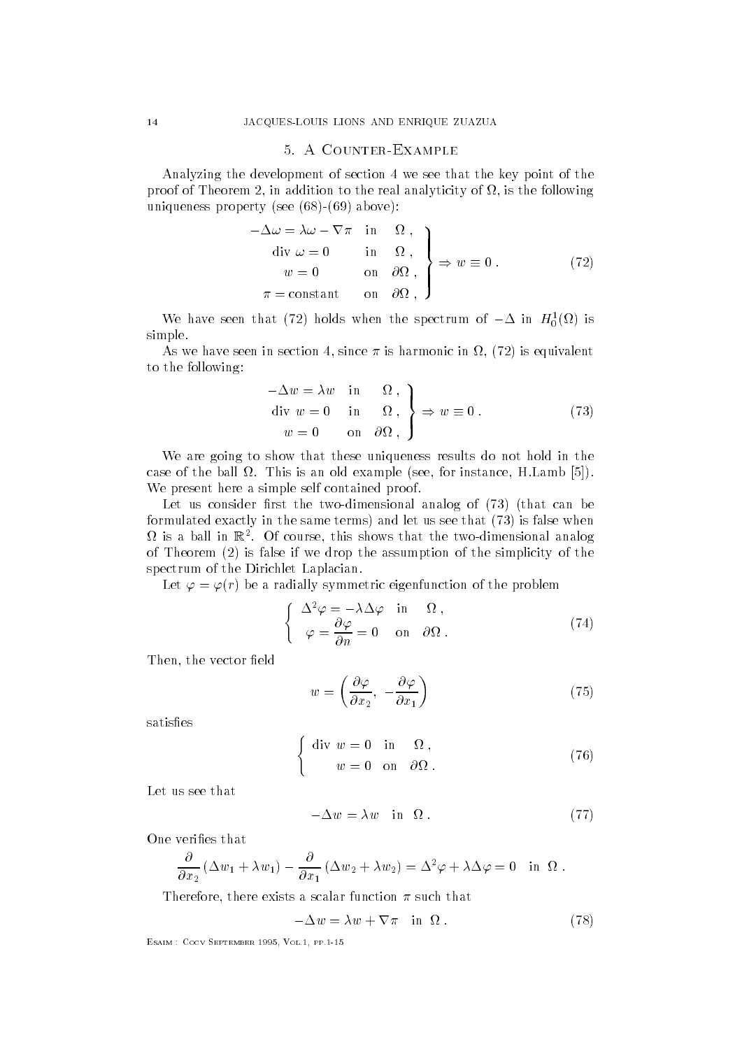## 5 A COUNTER-EXAMPLE

Analyzing the development of section 4 we see that the key point of the proof of Theorem 2, in addition to the real analyticity of  $\Omega$ , is the following uniqueness property (see  $(68)-(69)$  above):

$$
-\Delta \omega = \lambda \omega - \nabla \pi \quad \text{in} \quad \Omega ,
$$
  
\n
$$
\text{div } \omega = 0 \quad \text{in} \quad \Omega ,
$$
  
\n
$$
w = 0 \quad \text{on} \quad \partial \Omega ,
$$
  
\n
$$
\pi = \text{constant} \quad \text{on} \quad \partial \Omega ,
$$
\n(72)

We have seen that  $(2)$  holds when the spectrum of  $-\Delta$  in  $H_0(\Omega)$  is simple. simple-

As we have seen in section in section in section in section in section in  $\mathbf{1}$  ,  $\mathbf{1}$  ,  $\mathbf{1}$  ,  $\mathbf{1}$  ,  $\mathbf{1}$  ,  $\mathbf{1}$  ,  $\mathbf{1}$  ,  $\mathbf{1}$  ,  $\mathbf{1}$  ,  $\mathbf{1}$  ,  $\mathbf{1}$  ,  $\mathbf{1}$  ,  $\mathbf{1}$  ,  $\mathbf$ to the following

$$
-\Delta w = \lambda w \quad \text{in} \quad \Omega ,
$$
  
div  $w = 0$  in  $\Omega ,$   
 $w = 0$  on  $\partial \Omega ,$  $\begin{cases} \Rightarrow w = 0 . \end{cases}$  (73)

We are going to show that these uniqueness results do not hold in the case of the ball - the ball - the ball - the ball - the ball - this and - the ball - the ball - the ball - the We present here a simple self contained proof.

Let us consider first the two-dimensional analog of  $(73)$  (that can be formulated exactly in the same terms) and let us see that  $(73)$  is false when  $\alpha$  is a ball in  $\mathbb{R}$  . Of course, this shows that the two-dimensional analog of Theorem  $(2)$  is false if we drop the assumption of the simplicity of the spectrum of the Dirichlet Laplacian.

Let  $\varphi = \varphi(r)$  be a radially symmetric eigenfunction of the problem

$$
\begin{cases}\n\Delta^2 \varphi = -\lambda \Delta \varphi & \text{in} \quad \Omega, \\
\varphi = \frac{\partial \varphi}{\partial n} = 0 & \text{on} \quad \partial \Omega.\n\end{cases}
$$
\n(74)

Then, the vector field

$$
w = \left(\frac{\partial \varphi}{\partial x_2}, -\frac{\partial \varphi}{\partial x_1}\right) \tag{75}
$$

$$
\begin{cases} \text{div } w = 0 & \text{in } \Omega, \\ w = 0 & \text{on } \partial\Omega. \end{cases}
$$
 (76)

Let us see that

$$
-\Delta w = \lambda w \quad \text{in} \quad \Omega \tag{77}
$$

One verifies that

$$
\frac{\partial}{\partial x_2} (\Delta w_1 + \lambda w_1) - \frac{\partial}{\partial x_1} (\Delta w_2 + \lambda w_2) = \Delta^2 \varphi + \lambda \Delta \varphi = 0 \text{ in } \Omega.
$$

Interest that there exists a scalar function of such that

$$
-\Delta w = \lambda w + \nabla \pi \quad \text{in } \Omega \tag{78}
$$